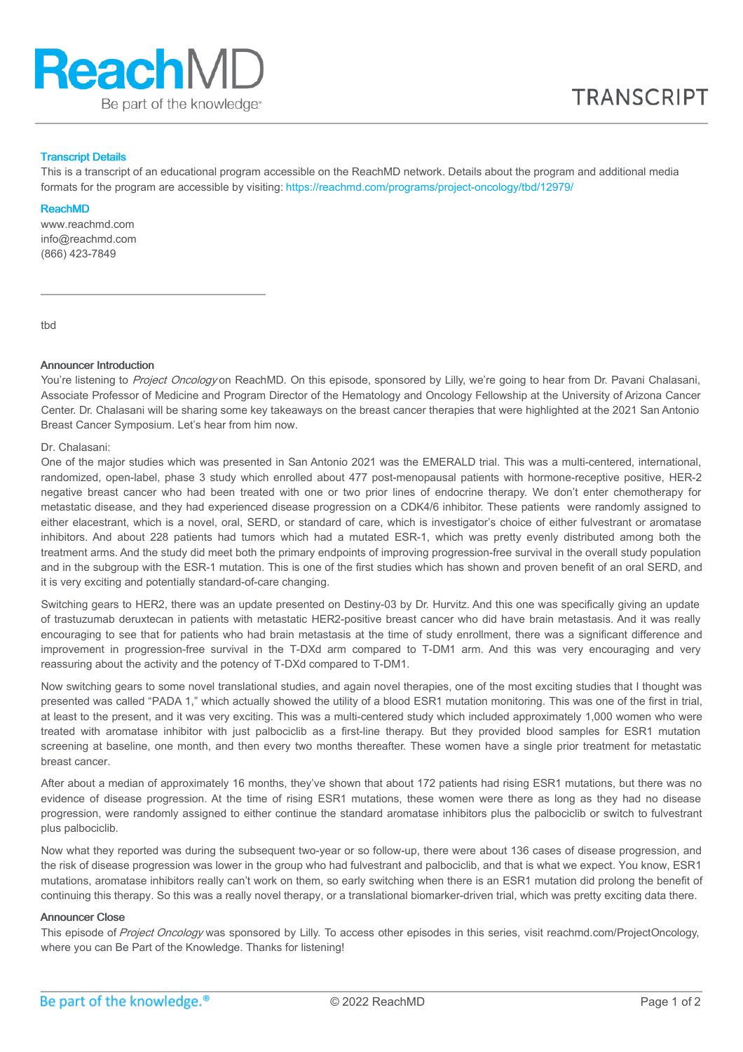

# Transcript Details

This is a transcript of an educational program accessible on the ReachMD network. Details about the program and additional media formats for the program are accessible by visiting: <https://reachmd.com/programs/project-oncology/tbd/12979/>

### ReachMD

www.reachmd.com info@reachmd.com (866) 423-7849

tbd

## Announcer Introduction

You're listening to Project Oncology on ReachMD. On this episode, sponsored by Lilly, we're going to hear from Dr. Pavani Chalasani, Associate Professor of Medicine and Program Director of the Hematology and Oncology Fellowship at the University of Arizona Cancer Center. Dr. Chalasani will be sharing some key takeaways on the breast cancer therapies that were highlighted at the 2021 San Antonio Breast Cancer Symposium. Let's hear from him now.

# Dr. Chalasani:

One of the major studies which was presented in San Antonio 2021 was the EMERALD trial. This was a multi-centered, international, randomized, open-label, phase 3 study which enrolled about 477 post-menopausal patients with hormone-receptive positive, HER-2 negative breast cancer who had been treated with one or two prior lines of endocrine therapy. We don't enter chemotherapy for metastatic disease, and they had experienced disease progression on a CDK4/6 inhibitor. These patients were randomly assigned to either elacestrant, which is a novel, oral, SERD, or standard of care, which is investigator's choice of either fulvestrant or aromatase inhibitors. And about 228 patients had tumors which had a mutated ESR-1, which was pretty evenly distributed among both the treatment arms. And the study did meet both the primary endpoints of improving progression-free survival in the overall study population and in the subgroup with the ESR-1 mutation. This is one of the first studies which has shown and proven benefit of an oral SERD, and it is very exciting and potentially standard-of-care changing.

Switching gears to HER2, there was an update presented on Destiny-03 by Dr. Hurvitz. And this one was specifically giving an update of trastuzumab deruxtecan in patients with metastatic HER2-positive breast cancer who did have brain metastasis. And it was really encouraging to see that for patients who had brain metastasis at the time of study enrollment, there was a significant difference and improvement in progression-free survival in the T-DXd arm compared to T-DM1 arm. And this was very encouraging and very reassuring about the activity and the potency of T-DXd compared to T-DM1.

Now switching gears to some novel translational studies, and again novel therapies, one of the most exciting studies that I thought was presented was called "PADA 1," which actually showed the utility of a blood ESR1 mutation monitoring. This was one of the first in trial, at least to the present, and it was very exciting. This was a multi-centered study which included approximately 1,000 women who were treated with aromatase inhibitor with just palbociclib as a first-line therapy. But they provided blood samples for ESR1 mutation screening at baseline, one month, and then every two months thereafter. These women have a single prior treatment for metastatic breast cancer.

After about a median of approximately 16 months, they've shown that about 172 patients had rising ESR1 mutations, but there was no evidence of disease progression. At the time of rising ESR1 mutations, these women were there as long as they had no disease progression, were randomly assigned to either continue the standard aromatase inhibitors plus the palbociclib or switch to fulvestrant plus palbociclib.

Now what they reported was during the subsequent two-year or so follow-up, there were about 136 cases of disease progression, and the risk of disease progression was lower in the group who had fulvestrant and palbociclib, and that is what we expect. You know, ESR1 mutations, aromatase inhibitors really can't work on them, so early switching when there is an ESR1 mutation did prolong the benefit of continuing this therapy. So this was a really novel therapy, or a translational biomarker-driven trial, which was pretty exciting data there.

### Announcer Close

This episode of Project Oncology was sponsored by Lilly. To access other episodes in this series, visit reachmd.com/ProjectOncology, where you can Be Part of the Knowledge. Thanks for listening!